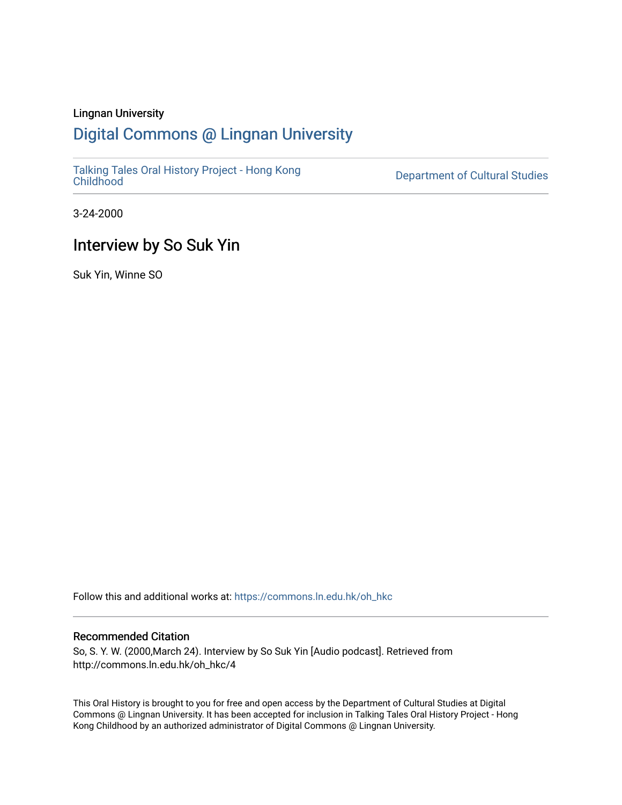### Lingnan University

# [Digital Commons @ Lingnan University](https://commons.ln.edu.hk/)

[Talking Tales Oral History Project - Hong Kong](https://commons.ln.edu.hk/oh_hkc)

Department of Cultural Studies

3-24-2000

# Interview by So Suk Yin

Suk Yin, Winne SO

Follow this and additional works at: [https://commons.ln.edu.hk/oh\\_hkc](https://commons.ln.edu.hk/oh_hkc?utm_source=commons.ln.edu.hk%2Foh_hkc%2F4&utm_medium=PDF&utm_campaign=PDFCoverPages) 

#### Recommended Citation

So, S. Y. W. (2000,March 24). Interview by So Suk Yin [Audio podcast]. Retrieved from http://commons.ln.edu.hk/oh\_hkc/4

This Oral History is brought to you for free and open access by the Department of Cultural Studies at Digital Commons @ Lingnan University. It has been accepted for inclusion in Talking Tales Oral History Project - Hong Kong Childhood by an authorized administrator of Digital Commons @ Lingnan University.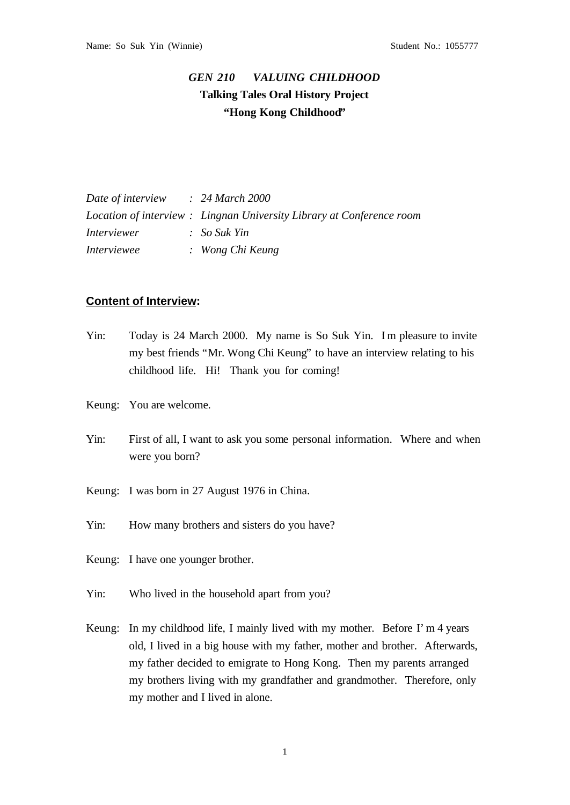## *GEN 210 VALUING CHILDHOOD* **Talking Tales Oral History Project "Hong Kong Childhood"**

| Date of interview  | $\therefore$ 24 March 2000                                            |
|--------------------|-----------------------------------------------------------------------|
|                    | Location of interview : Lingnan University Library at Conference room |
| <i>Interviewer</i> | $\therefore$ So Suk Yin                                               |
| <i>Interviewee</i> | : Wong Chi Keung                                                      |

### **Content of Interview:**

- Yin: Today is 24 March 2000. My name is So Suk Yin. Im pleasure to invite my best friends "Mr. Wong Chi Keung" to have an interview relating to his childhood life. Hi! Thank you for coming!
- Keung: You are welcome.
- Yin: First of all, I want to ask you some personal information. Where and when were you born?
- Keung: I was born in 27 August 1976 in China.
- Yin: How many brothers and sisters do you have?
- Keung: I have one younger brother.
- Yin: Who lived in the household apart from you?
- Keung: In my childhood life, I mainly lived with my mother. Before I'm 4 years old, I lived in a big house with my father, mother and brother. Afterwards, my father decided to emigrate to Hong Kong. Then my parents arranged my brothers living with my grandfather and grandmother. Therefore, only my mother and I lived in alone.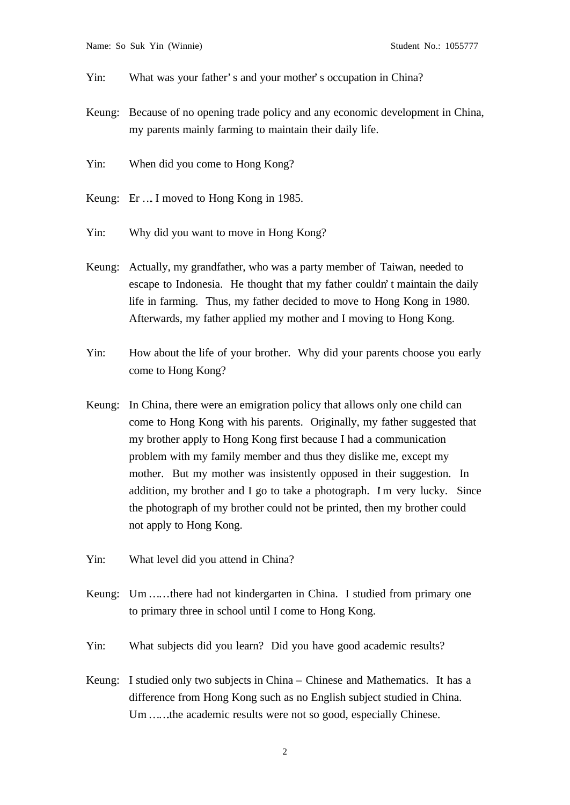- Yin: What was your father's and your mother's occupation in China?
- Keung: Because of no opening trade policy and any economic development in China, my parents mainly farming to maintain their daily life.
- Yin: When did you come to Hong Kong?
- Keung: Er …. I moved to Hong Kong in 1985.
- Yin: Why did you want to move in Hong Kong?
- Keung: Actually, my grandfather, who was a party member of Taiwan, needed to escape to Indonesia. He thought that my father couldn't maintain the daily life in farming. Thus, my father decided to move to Hong Kong in 1980. Afterwards, my father applied my mother and I moving to Hong Kong.
- Yin: How about the life of your brother. Why did your parents choose you early come to Hong Kong?
- Keung: In China, there were an emigration policy that allows only one child can come to Hong Kong with his parents. Originally, my father suggested that my brother apply to Hong Kong first because I had a communication problem with my family member and thus they dislike me, except my mother. But my mother was insistently opposed in their suggestion. In addition, my brother and I go to take a photograph. Im very lucky. Since the photograph of my brother could not be printed, then my brother could not apply to Hong Kong.
- Yin: What level did you attend in China?
- Keung: Um ......there had not kindergarten in China. I studied from primary one to primary three in school until I come to Hong Kong.
- Yin: What subjects did you learn? Did you have good academic results?
- Keung: I studied only two subjects in China Chinese and Mathematics. It has a difference from Hong Kong such as no English subject studied in China. Um ......the academic results were not so good, especially Chinese.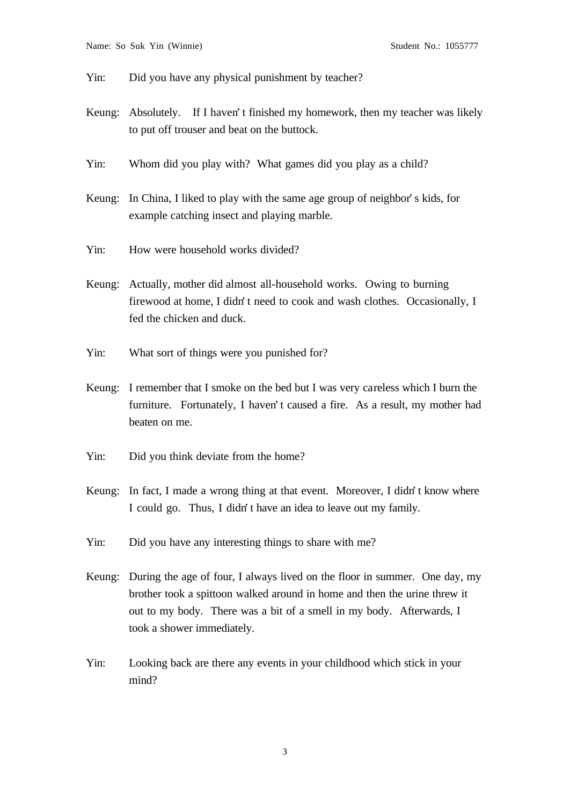Yin: Did you have any physical punishment by teacher?

- Keung: Absolutely. If I haven't finished my homework, then my teacher was likely to put off trouser and beat on the buttock.
- Yin: Whom did you play with? What games did you play as a child?
- Keung: In China, I liked to play with the same age group of neighbor's kids, for example catching insect and playing marble.
- Yin: How were household works divided?
- Keung: Actually, mother did almost all-household works. Owing to burning firewood at home, I didn't need to cook and wash clothes. Occasionally, I fed the chicken and duck.
- Yin: What sort of things were you punished for?
- Keung: I remember that I smoke on the bed but I was very careless which I burn the furniture. Fortunately, I haven't caused a fire. As a result, my mother had beaten on me.
- Yin: Did you think deviate from the home?
- Keung: In fact, I made a wrong thing at that event. Moreover, I didn't know where I could go. Thus, I didn't have an idea to leave out my family.
- Yin: Did you have any interesting things to share with me?
- Keung: During the age of four, I always lived on the floor in summer. One day, my brother took a spittoon walked around in home and then the urine threw it out to my body. There was a bit of a smell in my body. Afterwards, I took a shower immediately.
- Yin: Looking back are there any events in your childhood which stick in your mind?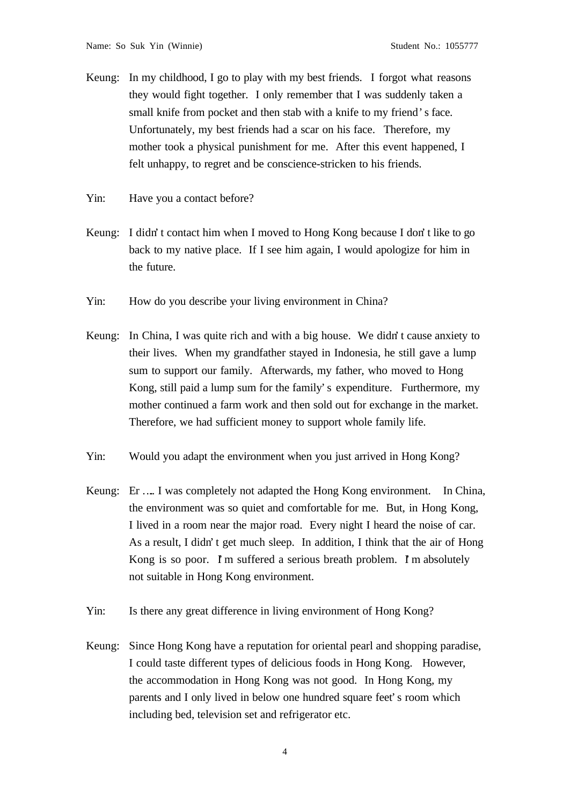- Keung: In my childhood, I go to play with my best friends. I forgot what reasons they would fight together. I only remember that I was suddenly taken a small knife from pocket and then stab with a knife to my friend's face. Unfortunately, my best friends had a scar on his face. Therefore, my mother took a physical punishment for me. After this event happened, I felt unhappy, to regret and be conscience-stricken to his friends.
- Yin: Have you a contact before?
- Keung: I didn't contact him when I moved to Hong Kong because I don't like to go back to my native place. If I see him again, I would apologize for him in the future.
- Yin: How do you describe your living environment in China?
- Keung: In China, I was quite rich and with a big house. We didn't cause anxiety to their lives. When my grandfather stayed in Indonesia, he still gave a lump sum to support our family. Afterwards, my father, who moved to Hong Kong, still paid a lump sum for the family's expenditure. Furthermore, my mother continued a farm work and then sold out for exchange in the market. Therefore, we had sufficient money to support whole family life.
- Yin: Would you adapt the environment when you just arrived in Hong Kong?
- Keung: Er ….. I was completely not adapted the Hong Kong environment. In China, the environment was so quiet and comfortable for me. But, in Hong Kong, I lived in a room near the major road. Every night I heard the noise of car. As a result, I didn't get much sleep. In addition, I think that the air of Hong Kong is so poor. I'm suffered a serious breath problem. I'm absolutely not suitable in Hong Kong environment.
- Yin: Is there any great difference in living environment of Hong Kong?
- Keung: Since Hong Kong have a reputation for oriental pearl and shopping paradise, I could taste different types of delicious foods in Hong Kong. However, the accommodation in Hong Kong was not good. In Hong Kong, my parents and I only lived in below one hundred square feet's room which including bed, television set and refrigerator etc.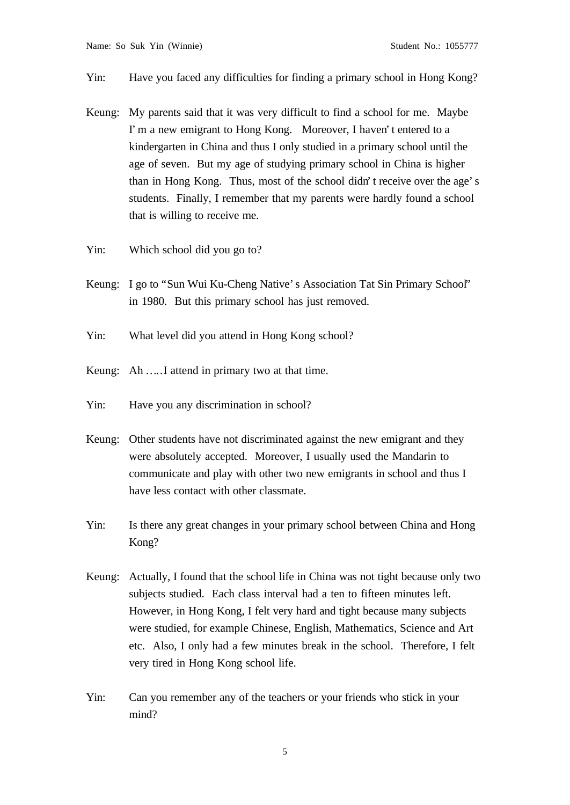#### Yin: Have you faced any difficulties for finding a primary school in Hong Kong?

- Keung: My parents said that it was very difficult to find a school for me. Maybe I'm a new emigrant to Hong Kong. Moreover, I haven't entered to a kindergarten in China and thus I only studied in a primary school until the age of seven. But my age of studying primary school in China is higher than in Hong Kong. Thus, most of the school didn't receive over the age's students. Finally, I remember that my parents were hardly found a school that is willing to receive me.
- Yin: Which school did you go to?
- Keung: I go to "Sun Wui Ku-Cheng Native's Association Tat Sin Primary School" in 1980. But this primary school has just removed.
- Yin: What level did you attend in Hong Kong school?
- Keung: Ah .....I attend in primary two at that time.
- Yin: Have you any discrimination in school?
- Keung: Other students have not discriminated against the new emigrant and they were absolutely accepted. Moreover, I usually used the Mandarin to communicate and play with other two new emigrants in school and thus I have less contact with other classmate.
- Yin: Is there any great changes in your primary school between China and Hong Kong?
- Keung: Actually, I found that the school life in China was not tight because only two subjects studied. Each class interval had a ten to fifteen minutes left. However, in Hong Kong, I felt very hard and tight because many subjects were studied, for example Chinese, English, Mathematics, Science and Art etc. Also, I only had a few minutes break in the school. Therefore, I felt very tired in Hong Kong school life.
- Yin: Can you remember any of the teachers or your friends who stick in your mind?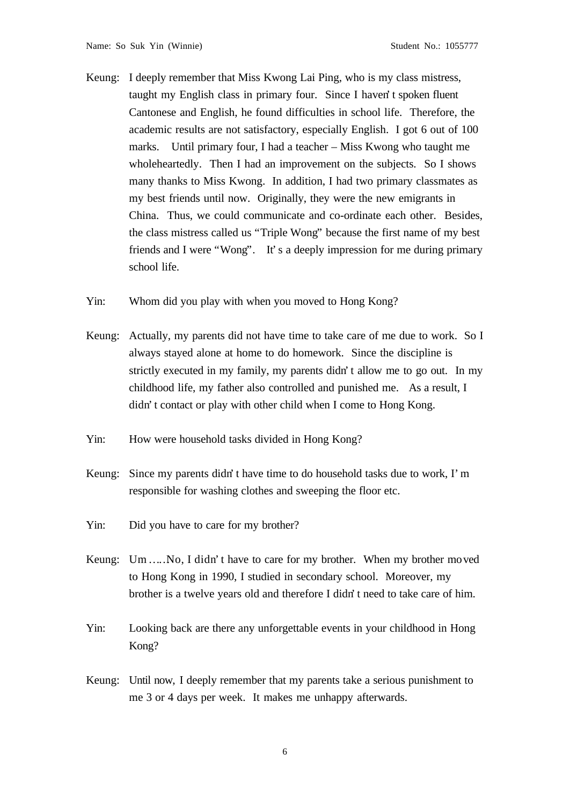Keung: I deeply remember that Miss Kwong Lai Ping, who is my class mistress, taught my English class in primary four. Since I haven't spoken fluent Cantonese and English, he found difficulties in school life. Therefore, the academic results are not satisfactory, especially English. I got 6 out of 100 marks. Until primary four, I had a teacher – Miss Kwong who taught me wholeheartedly. Then I had an improvement on the subjects. So I shows many thanks to Miss Kwong. In addition, I had two primary classmates as my best friends until now. Originally, they were the new emigrants in China. Thus, we could communicate and co-ordinate each other. Besides, the class mistress called us "Triple Wong" because the first name of my best friends and I were "Wong". It's a deeply impression for me during primary school life.

Yin: Whom did you play with when you moved to Hong Kong?

- Keung: Actually, my parents did not have time to take care of me due to work. So I always stayed alone at home to do homework. Since the discipline is strictly executed in my family, my parents didn't allow me to go out. In my childhood life, my father also controlled and punished me. As a result, I didn't contact or play with other child when I come to Hong Kong.
- Yin: How were household tasks divided in Hong Kong?
- Keung: Since my parents didn't have time to do household tasks due to work, I'm responsible for washing clothes and sweeping the floor etc.
- Yin: Did you have to care for my brother?
- Keung: Um ..... No, I didn't have to care for my brother. When my brother moved to Hong Kong in 1990, I studied in secondary school. Moreover, my brother is a twelve years old and therefore I didn't need to take care of him.
- Yin: Looking back are there any unforgettable events in your childhood in Hong Kong?
- Keung: Until now, I deeply remember that my parents take a serious punishment to me 3 or 4 days per week. It makes me unhappy afterwards.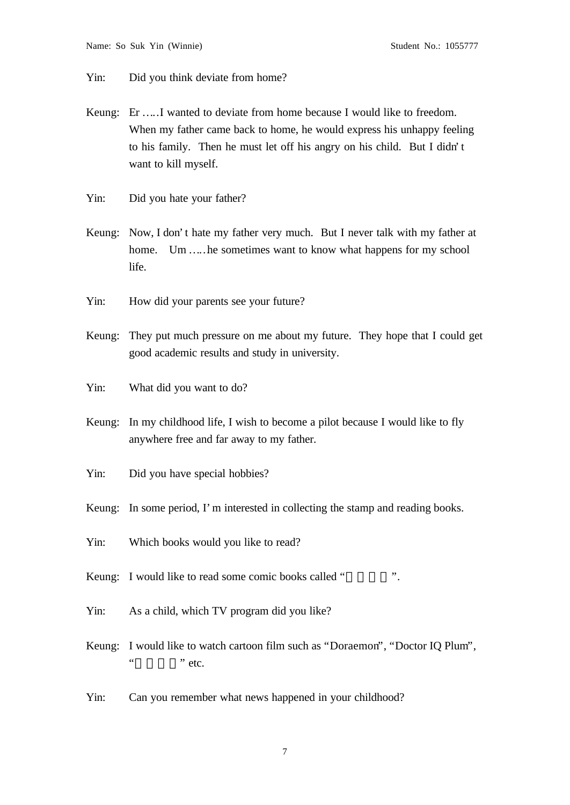Yin: Did you think deviate from home?

- Keung: Er … … I wanted to deviate from home because I would like to freedom. When my father came back to home, he would express his unhappy feeling to his family. Then he must let off his angry on his child. But I didn't want to kill myself.
- Yin: Did you hate your father?
- Keung: Now, I don't hate my father very much. But I never talk with my father at home. Um .... he sometimes want to know what happens for my school life.
- Yin: How did your parents see your future?
- Keung: They put much pressure on me about my future. They hope that I could get good academic results and study in university.
- Yin: What did you want to do?
- Keung: In my childhood life, I wish to become a pilot because I would like to fly anywhere free and far away to my father.
- Yin: Did you have special hobbies?
- Keung: In some period, I'm interested in collecting the stamp and reading books.
- Yin: Which books would you like to read?
- Keung: I would like to read some comic books called "<br>
... "
- Yin: As a child, which TV program did you like?
- Keung: I would like to watch cartoon film such as "Doraemon", "Doctor IQ Plum",  $\ldots$  " etc.
- Yin: Can you remember what news happened in your childhood?

7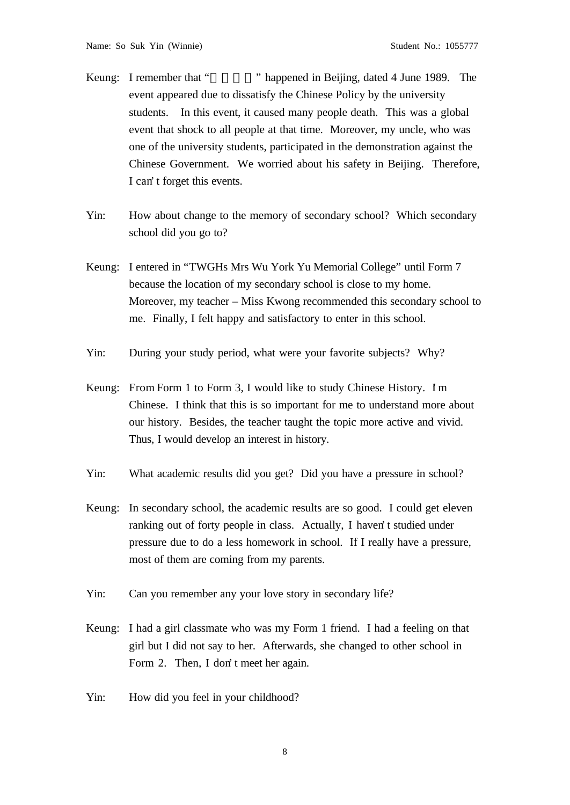Keung: I remember that "<sup>\*\*</sup> happened in Beijing, dated 4 June 1989. The event appeared due to dissatisfy the Chinese Policy by the university students. In this event, it caused many people death. This was a global event that shock to all people at that time. Moreover, my uncle, who was one of the university students, participated in the demonstration against the Chinese Government. We worried about his safety in Beijing. Therefore, I can't forget this events.

- Yin: How about change to the memory of secondary school? Which secondary school did you go to?
- Keung: I entered in "TWGHs Mrs Wu York Yu Memorial College" until Form 7 because the location of my secondary school is close to my home. Moreover, my teacher – Miss Kwong recommended this secondary school to me. Finally, I felt happy and satisfactory to enter in this school.
- Yin: During your study period, what were your favorite subjects? Why?
- Keung: From Form 1 to Form 3, I would like to study Chinese History. Im Chinese. I think that this is so important for me to understand more about our history. Besides, the teacher taught the topic more active and vivid. Thus, I would develop an interest in history.
- Yin: What academic results did you get? Did you have a pressure in school?
- Keung: In secondary school, the academic results are so good. I could get eleven ranking out of forty people in class. Actually, I haven't studied under pressure due to do a less homework in school. If I really have a pressure, most of them are coming from my parents.
- Yin: Can you remember any your love story in secondary life?
- Keung: I had a girl classmate who was my Form 1 friend. I had a feeling on that girl but I did not say to her. Afterwards, she changed to other school in Form 2. Then, I don't meet her again.
- Yin: How did you feel in your childhood?